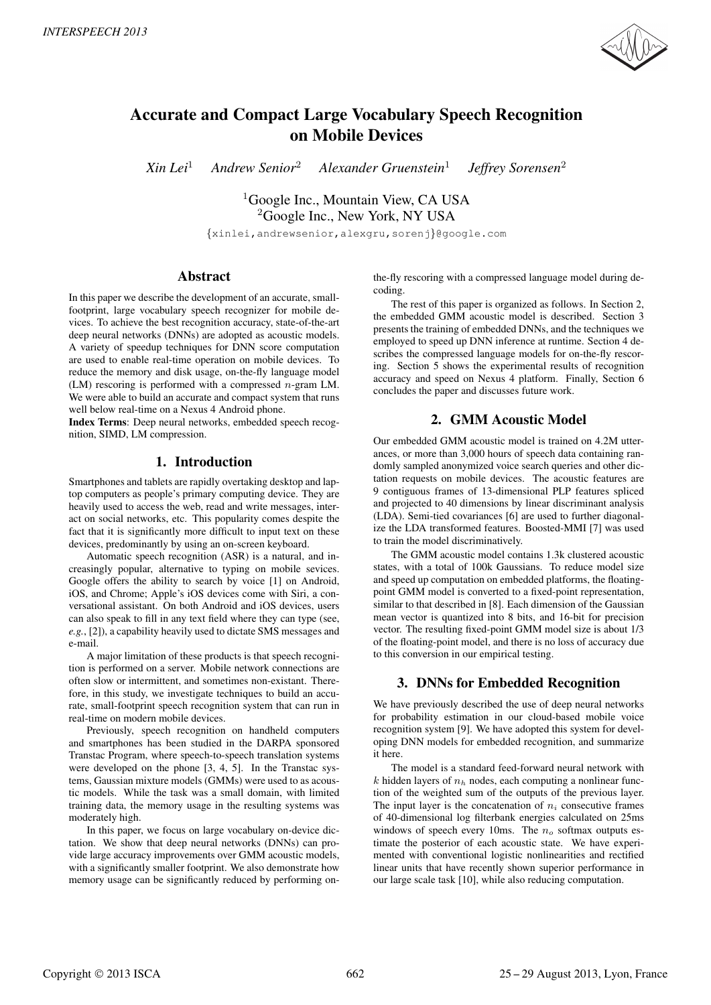

# Accurate and Compact Large Vocabulary Speech Recognition on Mobile Devices

*Xin Lei*<sup>1</sup> *Andrew Senior*<sup>2</sup> *Alexander Gruenstein*<sup>1</sup> *Jeffrey Sorensen*<sup>2</sup>

> <sup>1</sup>Google Inc., Mountain View, CA USA <sup>2</sup>Google Inc., New York, NY USA {xinlei,andrewsenior,alexgru,sorenj}@google.com

# Abstract

In this paper we describe the development of an accurate, smallfootprint, large vocabulary speech recognizer for mobile devices. To achieve the best recognition accuracy, state-of-the-art deep neural networks (DNNs) are adopted as acoustic models. A variety of speedup techniques for DNN score computation are used to enable real-time operation on mobile devices. To reduce the memory and disk usage, on-the-fly language model (LM) rescoring is performed with a compressed  $n$ -gram LM. We were able to build an accurate and compact system that runs well below real-time on a Nexus 4 Android phone.

Index Terms: Deep neural networks, embedded speech recognition, SIMD, LM compression.

# 1. Introduction

Smartphones and tablets are rapidly overtaking desktop and laptop computers as people's primary computing device. They are heavily used to access the web, read and write messages, interact on social networks, etc. This popularity comes despite the fact that it is significantly more difficult to input text on these devices, predominantly by using an on-screen keyboard.

Automatic speech recognition (ASR) is a natural, and increasingly popular, alternative to typing on mobile sevices. Google offers the ability to search by voice [1] on Android, iOS, and Chrome; Apple's iOS devices come with Siri, a conversational assistant. On both Android and iOS devices, users can also speak to fill in any text field where they can type (see, *e.g.*, [2]), a capability heavily used to dictate SMS messages and e-mail.

A major limitation of these products is that speech recognition is performed on a server. Mobile network connections are often slow or intermittent, and sometimes non-existant. Therefore, in this study, we investigate techniques to build an accurate, small-footprint speech recognition system that can run in real-time on modern mobile devices.

Previously, speech recognition on handheld computers and smartphones has been studied in the DARPA sponsored Transtac Program, where speech-to-speech translation systems were developed on the phone [3, 4, 5]. In the Transtac systems, Gaussian mixture models (GMMs) were used to as acoustic models. While the task was a small domain, with limited training data, the memory usage in the resulting systems was moderately high.

In this paper, we focus on large vocabulary on-device dictation. We show that deep neural networks (DNNs) can provide large accuracy improvements over GMM acoustic models, with a significantly smaller footprint. We also demonstrate how memory usage can be significantly reduced by performing on-

the-fly rescoring with a compressed language model during decoding.

The rest of this paper is organized as follows. In Section 2, the embedded GMM acoustic model is described. Section 3 presents the training of embedded DNNs, and the techniques we employed to speed up DNN inference at runtime. Section 4 describes the compressed language models for on-the-fly rescoring. Section 5 shows the experimental results of recognition accuracy and speed on Nexus 4 platform. Finally, Section 6 concludes the paper and discusses future work.

# 2. GMM Acoustic Model

Our embedded GMM acoustic model is trained on 4.2M utterances, or more than 3,000 hours of speech data containing randomly sampled anonymized voice search queries and other dictation requests on mobile devices. The acoustic features are 9 contiguous frames of 13-dimensional PLP features spliced and projected to 40 dimensions by linear discriminant analysis (LDA). Semi-tied covariances [6] are used to further diagonalize the LDA transformed features. Boosted-MMI [7] was used to train the model discriminatively.

The GMM acoustic model contains 1.3k clustered acoustic states, with a total of 100k Gaussians. To reduce model size and speed up computation on embedded platforms, the floatingpoint GMM model is converted to a fixed-point representation, similar to that described in [8]. Each dimension of the Gaussian mean vector is quantized into 8 bits, and 16-bit for precision vector. The resulting fixed-point GMM model size is about 1/3 of the floating-point model, and there is no loss of accuracy due to this conversion in our empirical testing.

# 3. DNNs for Embedded Recognition

We have previously described the use of deep neural networks for probability estimation in our cloud-based mobile voice recognition system [9]. We have adopted this system for developing DNN models for embedded recognition, and summarize it here.

The model is a standard feed-forward neural network with k hidden layers of  $n<sub>h</sub>$  nodes, each computing a nonlinear function of the weighted sum of the outputs of the previous layer. The input layer is the concatenation of  $n_i$  consecutive frames of 40-dimensional log filterbank energies calculated on 25ms windows of speech every 10ms. The  $n<sub>o</sub>$  softmax outputs estimate the posterior of each acoustic state. We have experimented with conventional logistic nonlinearities and rectified linear units that have recently shown superior performance in our large scale task [10], while also reducing computation.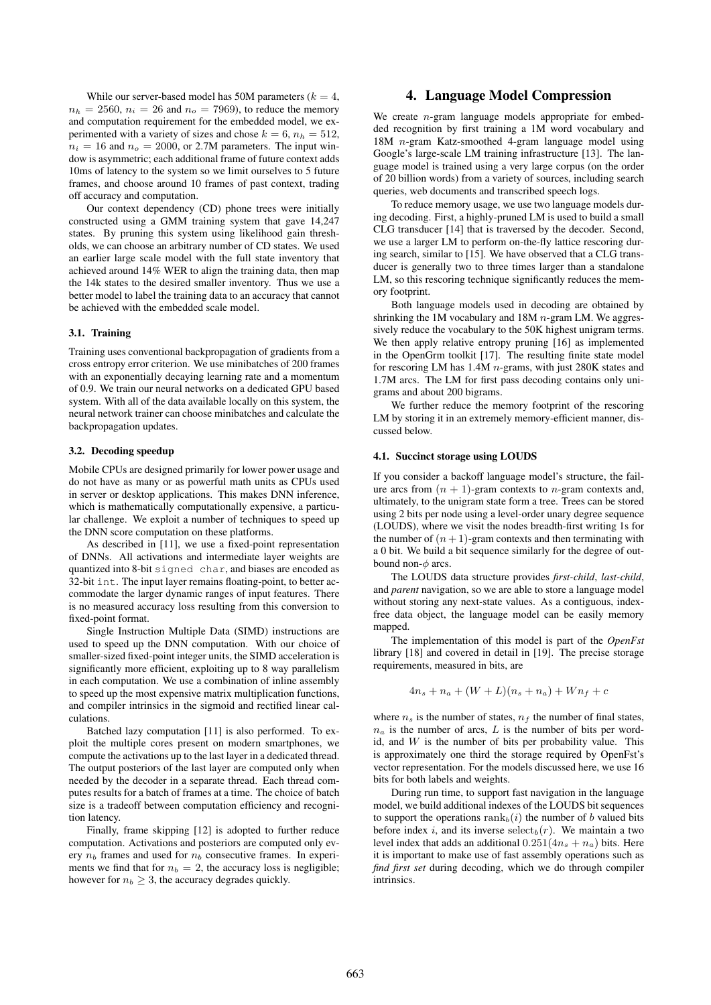While our server-based model has 50M parameters ( $k = 4$ ,  $n_h = 2560$ ,  $n_i = 26$  and  $n_o = 7969$ ), to reduce the memory and computation requirement for the embedded model, we experimented with a variety of sizes and chose  $k = 6$ ,  $n_h = 512$ ,  $n_i = 16$  and  $n_o = 2000$ , or 2.7M parameters. The input window is asymmetric; each additional frame of future context adds 10ms of latency to the system so we limit ourselves to 5 future frames, and choose around 10 frames of past context, trading off accuracy and computation.

Our context dependency (CD) phone trees were initially constructed using a GMM training system that gave 14,247 states. By pruning this system using likelihood gain thresholds, we can choose an arbitrary number of CD states. We used an earlier large scale model with the full state inventory that achieved around 14% WER to align the training data, then map the 14k states to the desired smaller inventory. Thus we use a better model to label the training data to an accuracy that cannot be achieved with the embedded scale model.

### 3.1. Training

Training uses conventional backpropagation of gradients from a cross entropy error criterion. We use minibatches of 200 frames with an exponentially decaying learning rate and a momentum of 0.9. We train our neural networks on a dedicated GPU based system. With all of the data available locally on this system, the neural network trainer can choose minibatches and calculate the backpropagation updates.

#### 3.2. Decoding speedup

Mobile CPUs are designed primarily for lower power usage and do not have as many or as powerful math units as CPUs used in server or desktop applications. This makes DNN inference, which is mathematically computationally expensive, a particular challenge. We exploit a number of techniques to speed up the DNN score computation on these platforms.

As described in [11], we use a fixed-point representation of DNNs. All activations and intermediate layer weights are quantized into 8-bit signed char, and biases are encoded as 32-bit int. The input layer remains floating-point, to better accommodate the larger dynamic ranges of input features. There is no measured accuracy loss resulting from this conversion to fixed-point format.

Single Instruction Multiple Data (SIMD) instructions are used to speed up the DNN computation. With our choice of smaller-sized fixed-point integer units, the SIMD acceleration is significantly more efficient, exploiting up to 8 way parallelism in each computation. We use a combination of inline assembly to speed up the most expensive matrix multiplication functions, and compiler intrinsics in the sigmoid and rectified linear calculations.

Batched lazy computation [11] is also performed. To exploit the multiple cores present on modern smartphones, we compute the activations up to the last layer in a dedicated thread. The output posteriors of the last layer are computed only when needed by the decoder in a separate thread. Each thread computes results for a batch of frames at a time. The choice of batch size is a tradeoff between computation efficiency and recognition latency.

Finally, frame skipping [12] is adopted to further reduce computation. Activations and posteriors are computed only every  $n_b$  frames and used for  $n_b$  consecutive frames. In experiments we find that for  $n_b = 2$ , the accuracy loss is negligible; however for  $n_b \geq 3$ , the accuracy degrades quickly.

## 4. Language Model Compression

We create  $n$ -gram language models appropriate for embedded recognition by first training a 1M word vocabulary and 18M n-gram Katz-smoothed 4-gram language model using Google's large-scale LM training infrastructure [13]. The language model is trained using a very large corpus (on the order of 20 billion words) from a variety of sources, including search queries, web documents and transcribed speech logs.

To reduce memory usage, we use two language models during decoding. First, a highly-pruned LM is used to build a small CLG transducer [14] that is traversed by the decoder. Second, we use a larger LM to perform on-the-fly lattice rescoring during search, similar to [15]. We have observed that a CLG transducer is generally two to three times larger than a standalone LM, so this rescoring technique significantly reduces the memory footprint.

Both language models used in decoding are obtained by shrinking the 1M vocabulary and 18M  $n$ -gram LM. We aggressively reduce the vocabulary to the 50K highest unigram terms. We then apply relative entropy pruning [16] as implemented in the OpenGrm toolkit [17]. The resulting finite state model for rescoring LM has 1.4M n-grams, with just 280K states and 1.7M arcs. The LM for first pass decoding contains only unigrams and about 200 bigrams.

We further reduce the memory footprint of the rescoring LM by storing it in an extremely memory-efficient manner, discussed below.

#### 4.1. Succinct storage using LOUDS

If you consider a backoff language model's structure, the failure arcs from  $(n + 1)$ -gram contexts to *n*-gram contexts and, ultimately, to the unigram state form a tree. Trees can be stored using 2 bits per node using a level-order unary degree sequence (LOUDS), where we visit the nodes breadth-first writing 1s for the number of  $(n + 1)$ -gram contexts and then terminating with a 0 bit. We build a bit sequence similarly for the degree of outbound non- $\phi$  arcs.

The LOUDS data structure provides *first-child*, *last-child*, and *parent* navigation, so we are able to store a language model without storing any next-state values. As a contiguous, indexfree data object, the language model can be easily memory mapped.

The implementation of this model is part of the *OpenFst* library [18] and covered in detail in [19]. The precise storage requirements, measured in bits, are

$$
4n_s + n_a + (W + L)(n_s + n_a) + Wn_f + c
$$

where  $n_s$  is the number of states,  $n_f$  the number of final states,  $n_a$  is the number of arcs, L is the number of bits per wordid, and  $W$  is the number of bits per probability value. This is approximately one third the storage required by OpenFst's vector representation. For the models discussed here, we use 16 bits for both labels and weights.

During run time, to support fast navigation in the language model, we build additional indexes of the LOUDS bit sequences to support the operations  $\text{rank}_b(i)$  the number of b valued bits before index i, and its inverse  $select_b(r)$ . We maintain a two level index that adds an additional  $0.251(4n_s + n_a)$  bits. Here it is important to make use of fast assembly operations such as *find first set* during decoding, which we do through compiler intrinsics.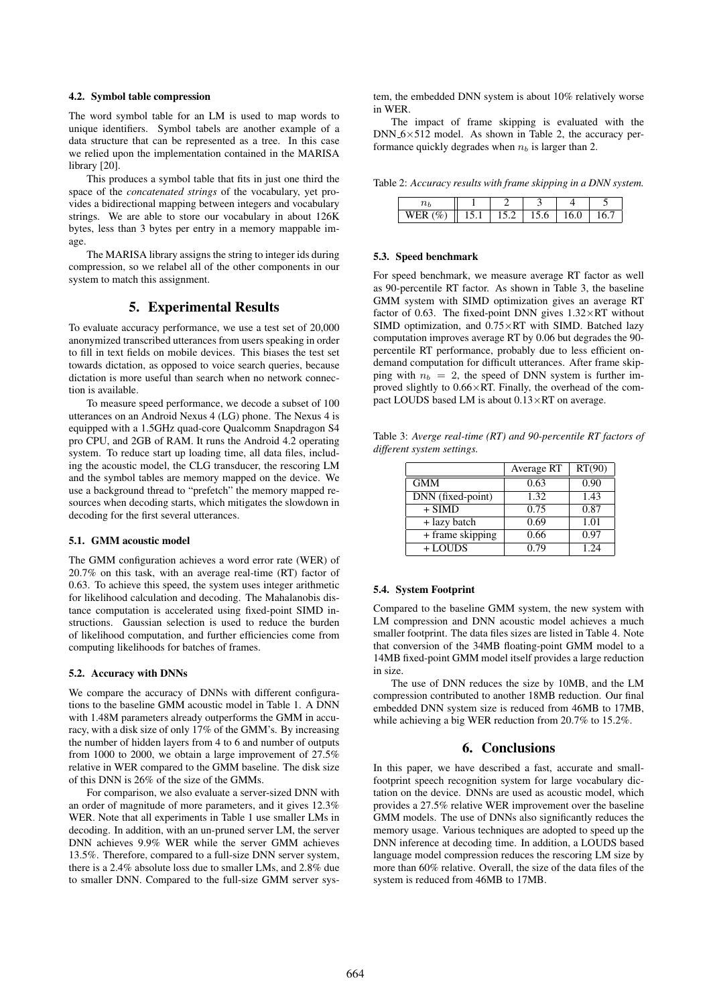## 4.2. Symbol table compression

The word symbol table for an LM is used to map words to unique identifiers. Symbol tabels are another example of a data structure that can be represented as a tree. In this case we relied upon the implementation contained in the MARISA library [20].

This produces a symbol table that fits in just one third the space of the *concatenated strings* of the vocabulary, yet provides a bidirectional mapping between integers and vocabulary strings. We are able to store our vocabulary in about 126K bytes, less than 3 bytes per entry in a memory mappable image.

The MARISA library assigns the string to integer ids during compression, so we relabel all of the other components in our system to match this assignment.

# 5. Experimental Results

To evaluate accuracy performance, we use a test set of 20,000 anonymized transcribed utterances from users speaking in order to fill in text fields on mobile devices. This biases the test set towards dictation, as opposed to voice search queries, because dictation is more useful than search when no network connection is available.

To measure speed performance, we decode a subset of 100 utterances on an Android Nexus 4 (LG) phone. The Nexus 4 is equipped with a 1.5GHz quad-core Qualcomm Snapdragon S4 pro CPU, and 2GB of RAM. It runs the Android 4.2 operating system. To reduce start up loading time, all data files, including the acoustic model, the CLG transducer, the rescoring LM and the symbol tables are memory mapped on the device. We use a background thread to "prefetch" the memory mapped resources when decoding starts, which mitigates the slowdown in decoding for the first several utterances.

#### 5.1. GMM acoustic model

The GMM configuration achieves a word error rate (WER) of 20.7% on this task, with an average real-time (RT) factor of 0.63. To achieve this speed, the system uses integer arithmetic for likelihood calculation and decoding. The Mahalanobis distance computation is accelerated using fixed-point SIMD instructions. Gaussian selection is used to reduce the burden of likelihood computation, and further efficiencies come from computing likelihoods for batches of frames.

### 5.2. Accuracy with DNNs

We compare the accuracy of DNNs with different configurations to the baseline GMM acoustic model in Table 1. A DNN with 1.48M parameters already outperforms the GMM in accuracy, with a disk size of only 17% of the GMM's. By increasing the number of hidden layers from 4 to 6 and number of outputs from 1000 to 2000, we obtain a large improvement of 27.5% relative in WER compared to the GMM baseline. The disk size of this DNN is 26% of the size of the GMMs.

For comparison, we also evaluate a server-sized DNN with an order of magnitude of more parameters, and it gives 12.3% WER. Note that all experiments in Table 1 use smaller LMs in decoding. In addition, with an un-pruned server LM, the server DNN achieves 9.9% WER while the server GMM achieves 13.5%. Therefore, compared to a full-size DNN server system, there is a 2.4% absolute loss due to smaller LMs, and 2.8% due to smaller DNN. Compared to the full-size GMM server system, the embedded DNN system is about 10% relatively worse in WER.

The impact of frame skipping is evaluated with the  $DNN_6 \times 512$  model. As shown in Table 2, the accuracy performance quickly degrades when  $n_b$  is larger than 2.

Table 2: *Accuracy results with frame skipping in a DNN system.*

| $\mathbf{v}$<br>v |  | v | v<br>ີ |  |
|-------------------|--|---|--------|--|

#### 5.3. Speed benchmark

For speed benchmark, we measure average RT factor as well as 90-percentile RT factor. As shown in Table 3, the baseline GMM system with SIMD optimization gives an average RT factor of 0.63. The fixed-point DNN gives  $1.32 \times RT$  without SIMD optimization, and  $0.75 \times RT$  with SIMD. Batched lazy computation improves average RT by 0.06 but degrades the 90 percentile RT performance, probably due to less efficient ondemand computation for difficult utterances. After frame skipping with  $n_b = 2$ , the speed of DNN system is further improved slightly to  $0.66 \times RT$ . Finally, the overhead of the compact LOUDS based LM is about  $0.13 \times RT$  on average.

Table 3: *Averge real-time (RT) and 90-percentile RT factors of different system settings.*

|                   | Average RT | RT(90) |
|-------------------|------------|--------|
| <b>GMM</b>        | 0.63       | 0.90   |
| DNN (fixed-point) | 1.32       | 1.43   |
| $+ SIMD$          | 0.75       | 0.87   |
| + lazy batch      | 0.69       | 1.01   |
| + frame skipping  | 0.66       | 0.97   |
| + LOUDS           | 0.79       | 1.24   |

#### 5.4. System Footprint

Compared to the baseline GMM system, the new system with LM compression and DNN acoustic model achieves a much smaller footprint. The data files sizes are listed in Table 4. Note that conversion of the 34MB floating-point GMM model to a 14MB fixed-point GMM model itself provides a large reduction in size.

The use of DNN reduces the size by 10MB, and the LM compression contributed to another 18MB reduction. Our final embedded DNN system size is reduced from 46MB to 17MB, while achieving a big WER reduction from 20.7% to 15.2%.

## 6. Conclusions

In this paper, we have described a fast, accurate and smallfootprint speech recognition system for large vocabulary dictation on the device. DNNs are used as acoustic model, which provides a 27.5% relative WER improvement over the baseline GMM models. The use of DNNs also significantly reduces the memory usage. Various techniques are adopted to speed up the DNN inference at decoding time. In addition, a LOUDS based language model compression reduces the rescoring LM size by more than 60% relative. Overall, the size of the data files of the system is reduced from 46MB to 17MB.